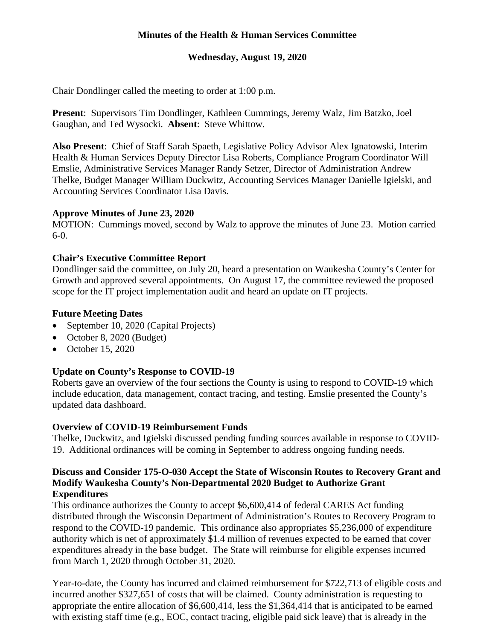# **Minutes of the Health & Human Services Committee**

## **Wednesday, August 19, 2020**

Chair Dondlinger called the meeting to order at 1:00 p.m.

**Present**: Supervisors Tim Dondlinger, Kathleen Cummings, Jeremy Walz, Jim Batzko, Joel Gaughan, and Ted Wysocki. **Absent**: Steve Whittow.

**Also Present**: Chief of Staff Sarah Spaeth, Legislative Policy Advisor Alex Ignatowski, Interim Health & Human Services Deputy Director Lisa Roberts, Compliance Program Coordinator Will Emslie, Administrative Services Manager Randy Setzer, Director of Administration Andrew Thelke, Budget Manager William Duckwitz, Accounting Services Manager Danielle Igielski, and Accounting Services Coordinator Lisa Davis.

### **Approve Minutes of June 23, 2020**

MOTION: Cummings moved, second by Walz to approve the minutes of June 23. Motion carried 6-0.

## **Chair's Executive Committee Report**

Dondlinger said the committee, on July 20, heard a presentation on Waukesha County's Center for Growth and approved several appointments. On August 17, the committee reviewed the proposed scope for the IT project implementation audit and heard an update on IT projects.

### **Future Meeting Dates**

- September 10, 2020 (Capital Projects)
- October 8, 2020 (Budget)
- October 15, 2020

## **Update on County's Response to COVID-19**

Roberts gave an overview of the four sections the County is using to respond to COVID-19 which include education, data management, contact tracing, and testing. Emslie presented the County's updated data dashboard.

### **Overview of COVID-19 Reimbursement Funds**

Thelke, Duckwitz, and Igielski discussed pending funding sources available in response to COVID-19. Additional ordinances will be coming in September to address ongoing funding needs.

#### **Discuss and Consider 175-O-030 Accept the State of Wisconsin Routes to Recovery Grant and Modify Waukesha County's Non-Departmental 2020 Budget to Authorize Grant Expenditures**

This ordinance authorizes the County to accept \$6,600,414 of federal CARES Act funding distributed through the Wisconsin Department of Administration's Routes to Recovery Program to respond to the COVID-19 pandemic. This ordinance also appropriates \$5,236,000 of expenditure authority which is net of approximately \$1.4 million of revenues expected to be earned that cover expenditures already in the base budget. The State will reimburse for eligible expenses incurred from March 1, 2020 through October 31, 2020.

Year-to-date, the County has incurred and claimed reimbursement for \$722,713 of eligible costs and incurred another \$327,651 of costs that will be claimed. County administration is requesting to appropriate the entire allocation of \$6,600,414, less the \$1,364,414 that is anticipated to be earned with existing staff time (e.g., EOC, contact tracing, eligible paid sick leave) that is already in the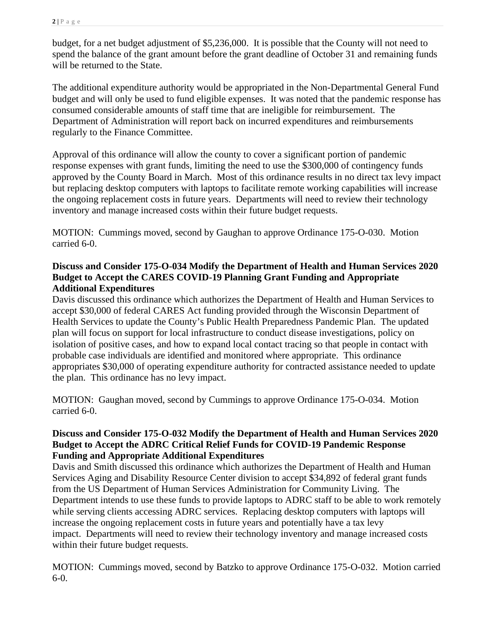budget, for a net budget adjustment of \$5,236,000. It is possible that the County will not need to spend the balance of the grant amount before the grant deadline of October 31 and remaining funds will be returned to the State.

The additional expenditure authority would be appropriated in the Non-Departmental General Fund budget and will only be used to fund eligible expenses. It was noted that the pandemic response has consumed considerable amounts of staff time that are ineligible for reimbursement. The Department of Administration will report back on incurred expenditures and reimbursements regularly to the Finance Committee.

Approval of this ordinance will allow the county to cover a significant portion of pandemic response expenses with grant funds, limiting the need to use the \$300,000 of contingency funds approved by the County Board in March. Most of this ordinance results in no direct tax levy impact but replacing desktop computers with laptops to facilitate remote working capabilities will increase the ongoing replacement costs in future years. Departments will need to review their technology inventory and manage increased costs within their future budget requests.

MOTION: Cummings moved, second by Gaughan to approve Ordinance 175-O-030. Motion carried 6-0.

## **Discuss and Consider 175-O-034 Modify the Department of Health and Human Services 2020 Budget to Accept the CARES COVID-19 Planning Grant Funding and Appropriate Additional Expenditures**

Davis discussed this ordinance which authorizes the Department of Health and Human Services to accept \$30,000 of federal CARES Act funding provided through the Wisconsin Department of Health Services to update the County's Public Health Preparedness Pandemic Plan. The updated plan will focus on support for local infrastructure to conduct disease investigations, policy on isolation of positive cases, and how to expand local contact tracing so that people in contact with probable case individuals are identified and monitored where appropriate. This ordinance appropriates \$30,000 of operating expenditure authority for contracted assistance needed to update the plan. This ordinance has no levy impact.

MOTION: Gaughan moved, second by Cummings to approve Ordinance 175-O-034. Motion carried 6-0.

### **Discuss and Consider 175-O-032 Modify the Department of Health and Human Services 2020 Budget to Accept the ADRC Critical Relief Funds for COVID-19 Pandemic Response Funding and Appropriate Additional Expenditures**

Davis and Smith discussed this ordinance which authorizes the Department of Health and Human Services Aging and Disability Resource Center division to accept \$34,892 of federal grant funds from the US Department of Human Services Administration for Community Living. The Department intends to use these funds to provide laptops to ADRC staff to be able to work remotely while serving clients accessing ADRC services. Replacing desktop computers with laptops will increase the ongoing replacement costs in future years and potentially have a tax levy impact. Departments will need to review their technology inventory and manage increased costs within their future budget requests.

MOTION: Cummings moved, second by Batzko to approve Ordinance 175-O-032. Motion carried 6-0.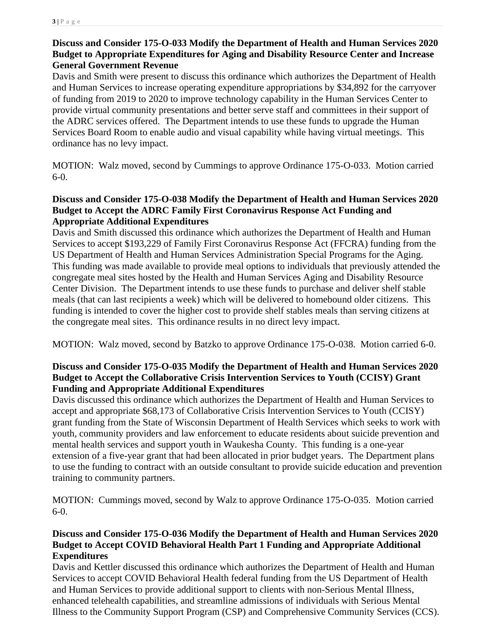# **Discuss and Consider 175-O-033 Modify the Department of Health and Human Services 2020 Budget to Appropriate Expenditures for Aging and Disability Resource Center and Increase General Government Revenue**

Davis and Smith were present to discuss this ordinance which authorizes the Department of Health and Human Services to increase operating expenditure appropriations by \$34,892 for the carryover of funding from 2019 to 2020 to improve technology capability in the Human Services Center to provide virtual community presentations and better serve staff and committees in their support of the ADRC services offered. The Department intends to use these funds to upgrade the Human Services Board Room to enable audio and visual capability while having virtual meetings. This ordinance has no levy impact.

MOTION: Walz moved, second by Cummings to approve Ordinance 175-O-033. Motion carried 6-0.

### **Discuss and Consider 175-O-038 Modify the Department of Health and Human Services 2020 Budget to Accept the ADRC Family First Coronavirus Response Act Funding and Appropriate Additional Expenditures**

Davis and Smith discussed this ordinance which authorizes the Department of Health and Human Services to accept \$193,229 of Family First Coronavirus Response Act (FFCRA) funding from the US Department of Health and Human Services Administration Special Programs for the Aging. This funding was made available to provide meal options to individuals that previously attended the congregate meal sites hosted by the Health and Human Services Aging and Disability Resource Center Division. The Department intends to use these funds to purchase and deliver shelf stable meals (that can last recipients a week) which will be delivered to homebound older citizens. This funding is intended to cover the higher cost to provide shelf stables meals than serving citizens at the congregate meal sites. This ordinance results in no direct levy impact.

MOTION: Walz moved, second by Batzko to approve Ordinance 175-O-038. Motion carried 6-0.

## **Discuss and Consider 175-O-035 Modify the Department of Health and Human Services 2020 Budget to Accept the Collaborative Crisis Intervention Services to Youth (CCISY) Grant Funding and Appropriate Additional Expenditures**

Davis discussed this ordinance which authorizes the Department of Health and Human Services to accept and appropriate \$68,173 of Collaborative Crisis Intervention Services to Youth (CCISY) grant funding from the State of Wisconsin Department of Health Services which seeks to work with youth, community providers and law enforcement to educate residents about suicide prevention and mental health services and support youth in Waukesha County. This funding is a one-year extension of a five-year grant that had been allocated in prior budget years. The Department plans to use the funding to contract with an outside consultant to provide suicide education and prevention training to community partners.

MOTION: Cummings moved, second by Walz to approve Ordinance 175-O-035. Motion carried 6-0.

## **Discuss and Consider 175-O-036 Modify the Department of Health and Human Services 2020 Budget to Accept COVID Behavioral Health Part 1 Funding and Appropriate Additional Expenditures**

Davis and Kettler discussed this ordinance which authorizes the Department of Health and Human Services to accept COVID Behavioral Health federal funding from the US Department of Health and Human Services to provide additional support to clients with non-Serious Mental Illness, enhanced telehealth capabilities, and streamline admissions of individuals with Serious Mental Illness to the Community Support Program (CSP) and Comprehensive Community Services (CCS).